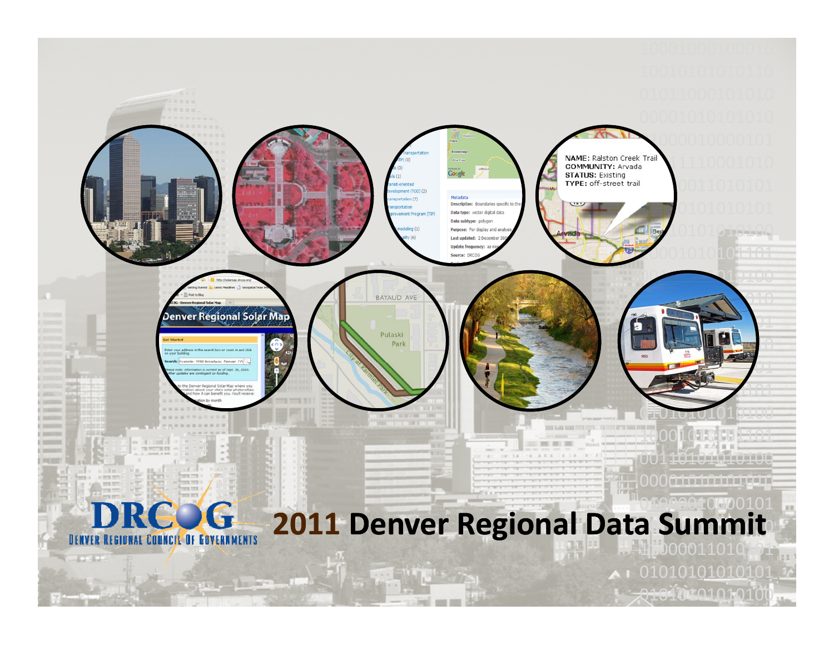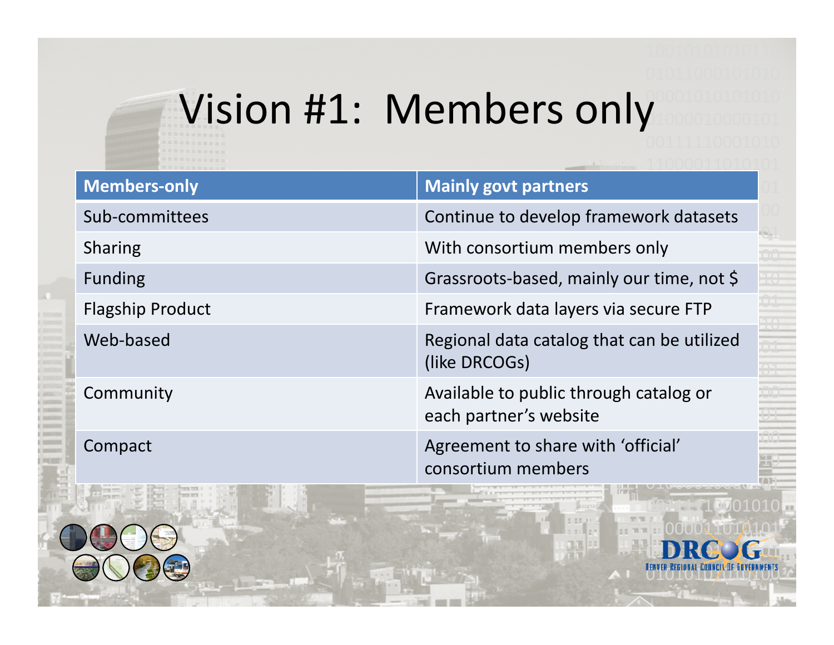#### 00001010101010Vision #1: Members only

| <b>Members-only</b>                                                                                                                                                                                                                       | <b>Mainly govt partners</b>                                                               |
|-------------------------------------------------------------------------------------------------------------------------------------------------------------------------------------------------------------------------------------------|-------------------------------------------------------------------------------------------|
| Sub-committees                                                                                                                                                                                                                            | Continue to develop framework datasets                                                    |
| <b>Sharing</b>                                                                                                                                                                                                                            | With consortium members only                                                              |
| Funding                                                                                                                                                                                                                                   | Grassroots-based, mainly our time, not \$<br>10                                           |
| <b>Flagship Product</b>                                                                                                                                                                                                                   | Framework data layers via secure FTP                                                      |
| Web-based                                                                                                                                                                                                                                 | Regional data catalog that can be utilized<br>(like DRCOGs)                               |
| Community                                                                                                                                                                                                                                 | Available to public through catalog or<br>each partner's website                          |
| Compact<br>the contract of the contract of the contract of the contract of the contract of the contract of the contract of the contract of the contract of the contract of the contract of the contract of the contract of the contract o | Agreement to share with 'official'<br>consortium members<br><b>LE CAPACAPADRE DAVA CA</b> |

00111110001010

110000110101

0101101011011

01010101010100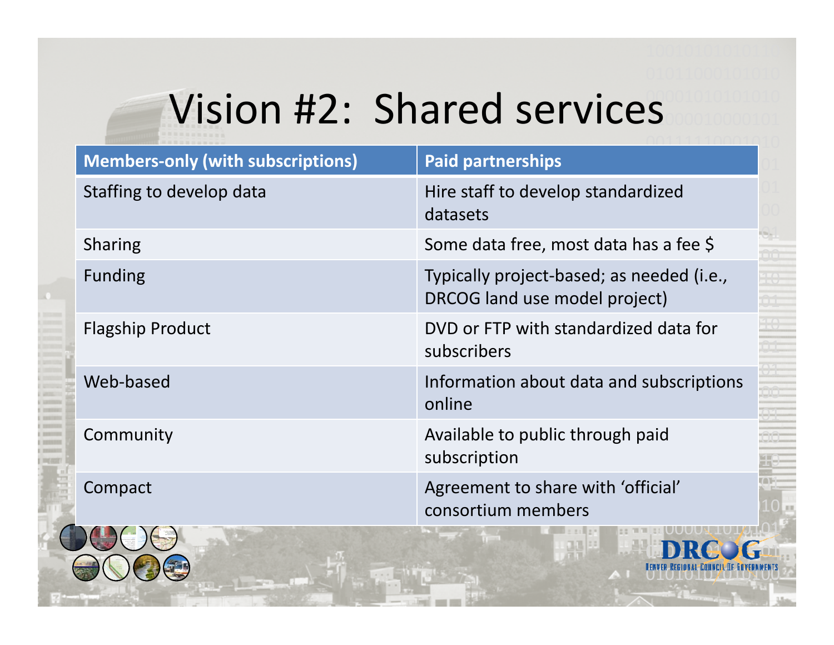### Vision #2: Shared services

| <b>Members-only (with subscriptions)</b> | <b>Paid partnerships</b>                                                   |
|------------------------------------------|----------------------------------------------------------------------------|
| Staffing to develop data                 | Hire staff to develop standardized<br>datasets                             |
| <b>Sharing</b>                           | Some data free, most data has a fee \$                                     |
| <b>Funding</b>                           | Typically project-based; as needed (i.e.,<br>DRCOG land use model project) |
| <b>Flagship Product</b>                  | DVD or FTP with standardized data for<br>subscribers                       |
| Web-based                                | Information about data and subscriptions<br>online                         |
| Community                                | Available to public through paid<br>subscription                           |
| Compact                                  | Agreement to share with 'official'<br>consortium members                   |
|                                          |                                                                            |

0101101011011

01010101010100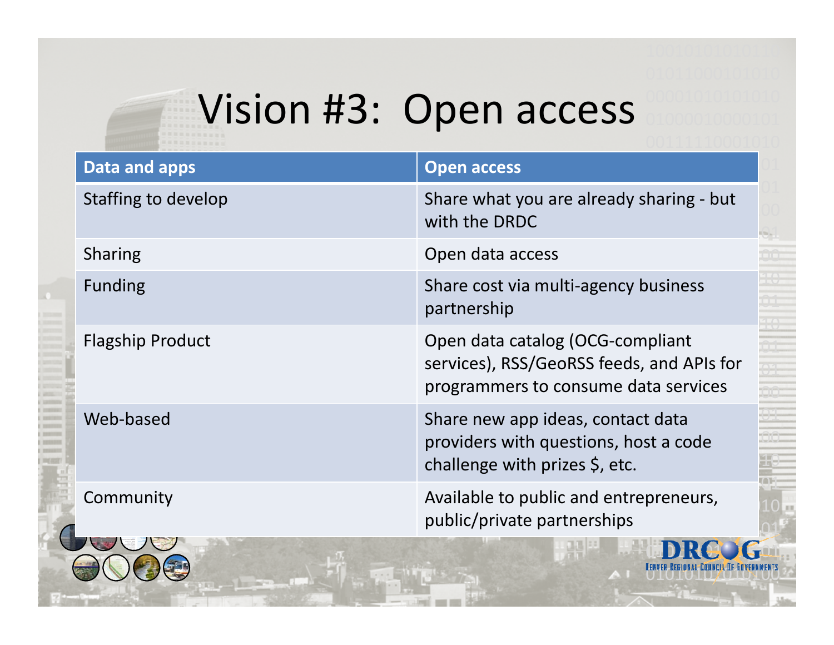# Vision #3: Open access

| Data and apps           | <b>Open access</b>                                                                                                    |
|-------------------------|-----------------------------------------------------------------------------------------------------------------------|
| Staffing to develop     | Share what you are already sharing - but<br>with the DRDC                                                             |
| <b>Sharing</b>          | Open data access                                                                                                      |
| <b>Funding</b>          | Share cost via multi-agency business<br>partnership                                                                   |
| <b>Flagship Product</b> | Open data catalog (OCG-compliant<br>services), RSS/GeoRSS feeds, and APIs for<br>programmers to consume data services |
| Web-based               | Share new app ideas, contact data<br>providers with questions, host a code<br>challenge with prizes $\zeta$ , etc.    |
| Community               | Available to public and entrepreneurs,<br>public/private partnerships                                                 |

 $\mathbf G$ 

01010101010100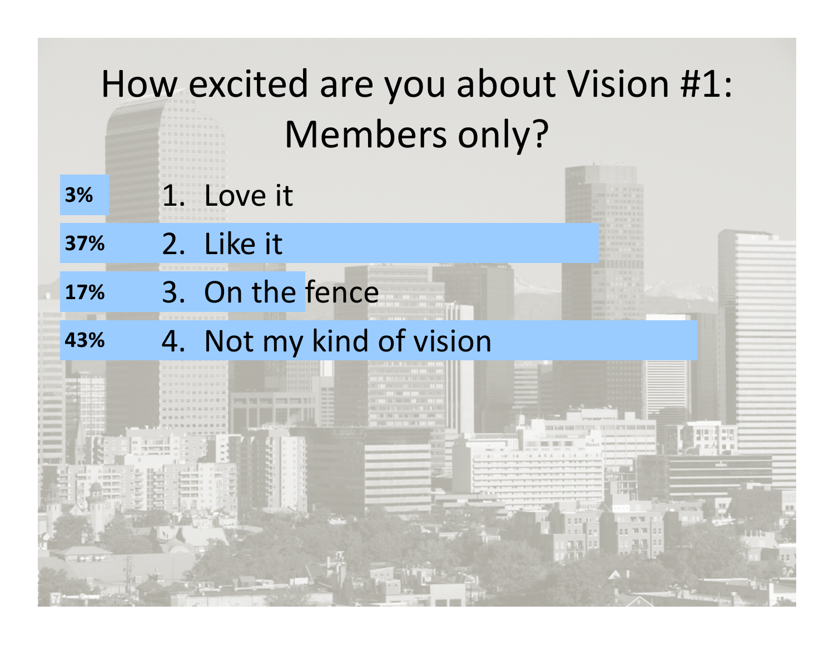|            | How excited are you about Vision #1: |
|------------|--------------------------------------|
|            | Members only?                        |
| 3%         | 1. Love it                           |
| 37%        | 2. Like it                           |
| 17%        | 3. On the fence                      |
| 43%        | 4. Not my kind of vision             |
|            |                                      |
|            |                                      |
|            |                                      |
| <b>COM</b> |                                      |
|            |                                      |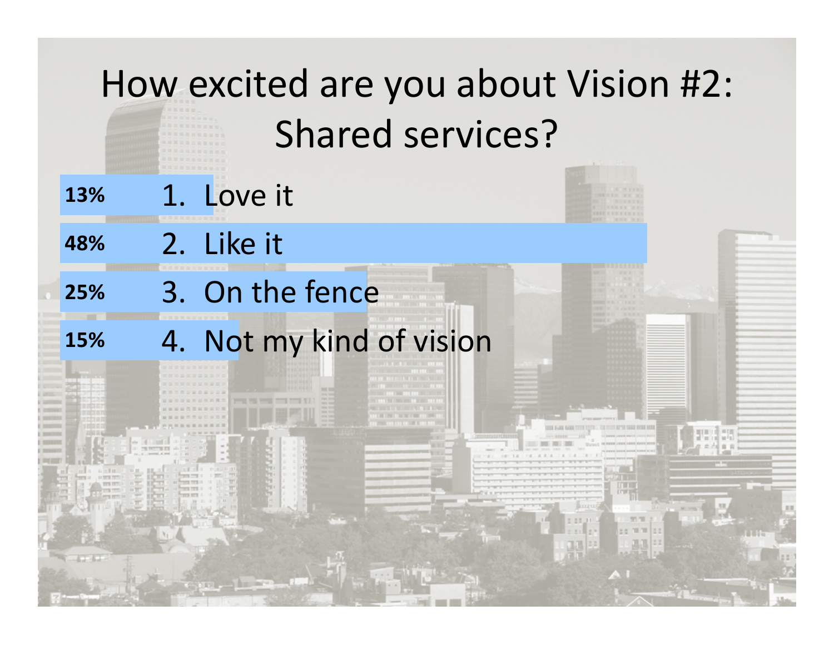# How excited are you about Vision #2: Shared services? **13%**% 1. Love it 2. Like it **48%** % 3. On the fence **25%**4. Not my kind of vision **15% NOTES IN STRUCT**